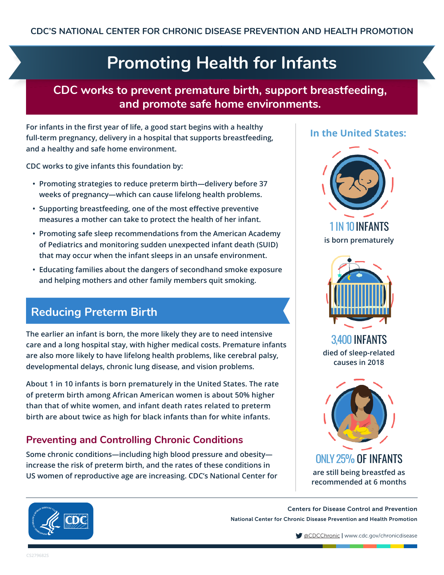# **Promoting Health for Infants**

### **CDC works to prevent premature birth, support breastfeeding, and promote safe home environments.**

**For infants in the first year of life, a good start begins with a healthy full-term pregnancy, delivery in a hospital that supports breastfeeding, and a healthy and safe home environment.**

**CDC works to give infants this foundation by:**

- **• Promoting strategies to reduce preterm birth—delivery before 37 weeks of pregnancy—which can cause lifelong health problems.**
- **• Supporting breastfeeding, one of the most effective preventive measures a mother can take to protect the health of her infant.**
- **• Promoting safe sleep recommendations from the American Academy of Pediatrics and monitoring sudden unexpected infant death (SUID) that may occur when the infant sleeps in an unsafe environment.**
- **• Educating families about the dangers of secondhand smoke exposure and helping mothers and other family members quit smoking.**

## **Reducing Preterm Birth**

**The earlier an infant is born, the more likely they are to need intensive care and a long hospital stay, with higher medical costs. Premature infants are also more likely to have lifelong health problems, like cerebral palsy, developmental delays, chronic lung disease, and vision problems.** 

**About 1 in 10 infants is born prematurely in the United States. The rate of preterm birth among African American women is about 50% higher than that of white women, and infant death rates related to preterm birth are about twice as high for black infants than for white infants.**

### **Preventing and Controlling Chronic Conditions**

**Some chronic conditions—including high blood pressure and obesity increase the risk of preterm birth, and the rates of these conditions in US women of reproductive age are increasing. CDC's National Center for** 

#### **In the United States:**





3,400 INFANTS **died of sleep-related causes in 2018**



Centers for Disease Control and Prevention National Center for Chronic Disease Prevention and Health Promotion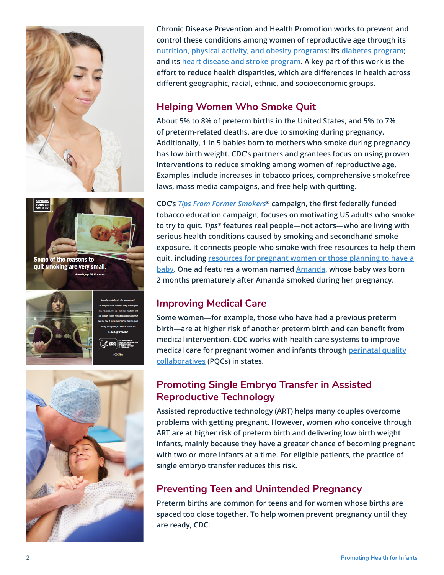





**Chronic Disease Prevention and Health Promotion works to prevent and control these conditions among women of reproductive age through its [nutrition, physical activity, and obesity programs](https://www.cdc.gov/nccdphp/dnpao/index.html); its [diabetes program](https://www.cdc.gov/diabetes/home/index.html); and its [heart disease and stroke program.](https://www.cdc.gov/dhdsp/) A key part of this work is the effort to reduce health disparities, which are differences in health across different geographic, racial, ethnic, and socioeconomic groups.**

#### **Helping Women Who Smoke Quit**

**About 5% to 8% of preterm births in the United States, and 5% to 7% of preterm-related deaths, are due to smoking during pregnancy. Additionally, 1 in 5 babies born to mothers who smoke during pregnancy has low birth weight. CDC's partners and grantees focus on using proven interventions to reduce smoking among women of reproductive age. Examples include increases in tobacco prices, comprehensive smokefree laws, mass media campaigns, and free help with quitting.**

**CDC's** *[Tips From Former Smokers](https://www.cdc.gov/tobacco/campaign/tips/index.html)***® campaign, the first federally funded tobacco education campaign, focuses on motivating US adults who smoke to try to quit.** *Tips***® features real people—not actors—who are living with serious health conditions caused by smoking and secondhand smoke exposure. It connects people who smoke with free resources to help them quit, including [resources for pregnant women or those planning to have a](https://www.cdc.gov/tobacco/campaign/tips/groups/pregnant-planning.html) [baby.](https://www.cdc.gov/tobacco/campaign/tips/groups/pregnant-planning.html) One ad features a woman named [Amanda,](https://www.cdc.gov/tobacco/campaign/tips/stories/amanda.html) whose baby was born 2 months prematurely after Amanda smoked during her pregnancy.**

#### **Improving Medical Care**

**Some women—for example, those who have had a previous preterm birth—are at higher risk of another preterm birth and can benefit from medical intervention. CDC works with health care systems to improve medical care for pregnant women and infants through [perinatal quality](http://www.cdc.gov/reproductivehealth/MaternalInfantHealth/PQC.htm) [collaboratives](http://www.cdc.gov/reproductivehealth/MaternalInfantHealth/PQC.htm) (PQCs) in states.**

#### **Promoting Single Embryo Transfer in Assisted Reproductive Technology**

**Assisted reproductive technology (ART) helps many couples overcome problems with getting pregnant. However, women who conceive through ART are at higher risk of preterm birth and delivering low birth weight infants, mainly because they have a greater chance of becoming pregnant with two or more infants at a time. For eligible patients, the practice of single embryo transfer reduces this risk.**

#### **Preventing Teen and Unintended Pregnancy**

**Preterm births are common for teens and for women whose births are spaced too close together. To help women prevent pregnancy until they are ready, CDC:**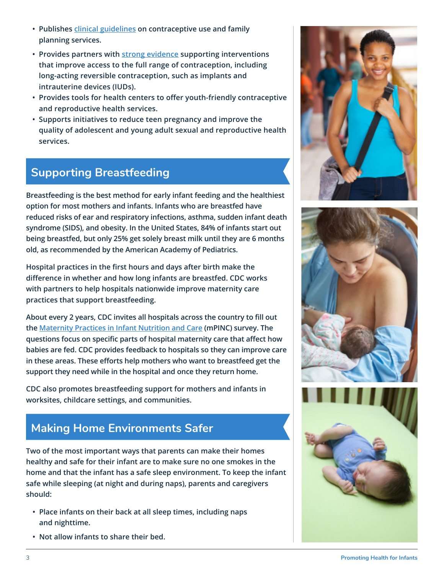- **• Publishes [clinical guidelines](https://www.cdc.gov/reproductivehealth/contraception/contraception_guidance.htm) on contraceptive use and family planning services.**
- **• Provides partners with [strong evidence](https://www.cdc.gov/sixeighteen/pregnancy/index.htm) supporting interventions that improve access to the full range of contraception, including long-acting reversible contraception, such as implants and intrauterine devices (IUDs).**
- **• Provides tools for health centers to offer youth-friendly contraceptive and reproductive health services.**
- **• Supports initiatives to reduce teen pregnancy and improve the quality of adolescent and young adult sexual and reproductive health services.**

## **Supporting Breastfeeding**

**Breastfeeding is the best method for early infant feeding and the healthiest option for most mothers and infants. Infants who are breastfed have reduced risks of ear and respiratory infections, asthma, sudden infant death syndrome (SIDS), and obesity. In the United States, 84% of infants start out being breastfed, but only 25% get solely breast milk until they are 6 months old, as recommended by the American Academy of Pediatrics.**

**Hospital practices in the first hours and days after birth make the difference in whether and how long infants are breastfed. CDC works with partners to help hospitals nationwide improve maternity care practices that support breastfeeding.** 

**About every 2 years, CDC invites all hospitals across the country to fill out the [Maternity Practices in Infant Nutrition and Care](https://www.cdc.gov/breastfeeding/data/mpinc/index.htm) (mPINC) survey. The questions focus on specific parts of hospital maternity care that affect how babies are fed. CDC provides feedback to hospitals so they can improve care in these areas. These efforts help mothers who want to breastfeed get the support they need while in the hospital and once they return home.** 

**CDC also promotes breastfeeding support for mothers and infants in worksites, childcare settings, and communities.**

## **Making Home Environments Safer**

**Two of the most important ways that parents can make their homes healthy and safe for their infant are to make sure no one smokes in the home and that the infant has a safe sleep environment. To keep the infant safe while sleeping (at night and during naps), parents and caregivers should:**

- **• Place infants on their back at all sleep times, including naps and nighttime.**
- **• Not allow infants to share their bed.**